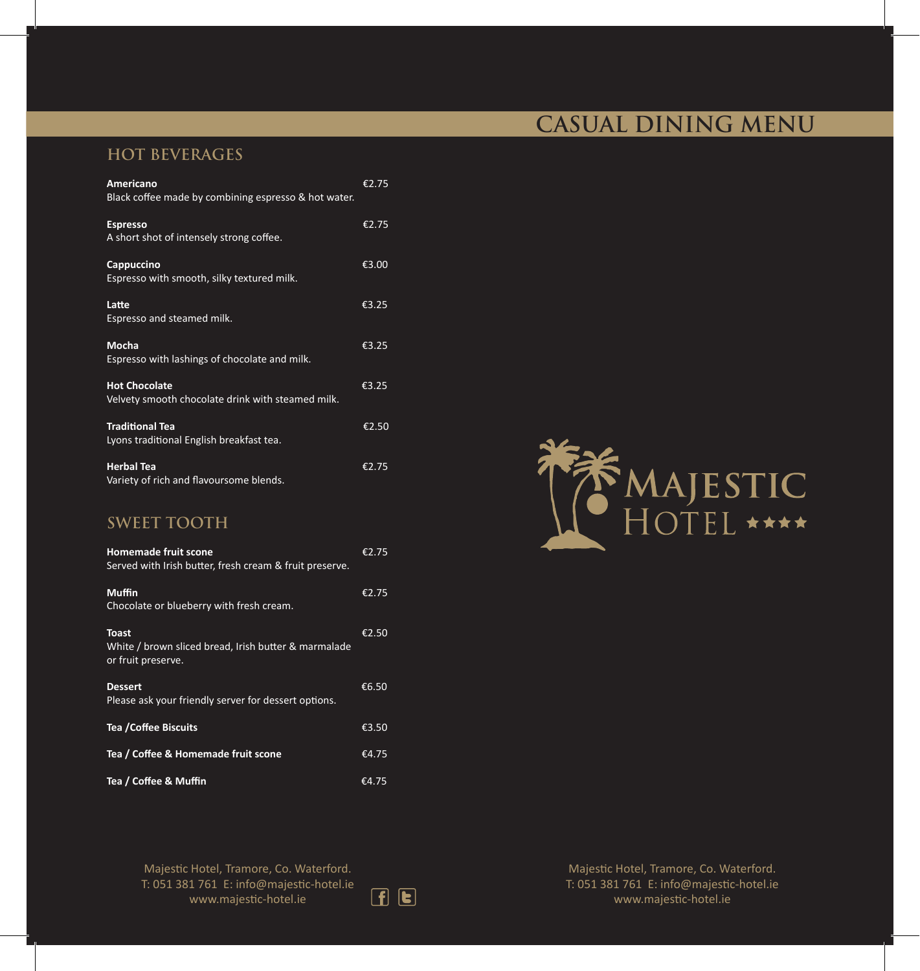## **CASUAL DINING MENU**

#### **HOT BEVERAGES**

| <b>Americano</b><br>Black coffee made by combining espresso & hot water.  | €2.75 |
|---------------------------------------------------------------------------|-------|
| <b>Espresso</b><br>A short shot of intensely strong coffee.               | £2.75 |
| Cappuccino<br>Espresso with smooth, silky textured milk.                  | €3.00 |
| Latte<br>Espresso and steamed milk.                                       | €3.25 |
| <b>Mocha</b><br>Espresso with lashings of chocolate and milk.             | €3.25 |
| <b>Hot Chocolate</b><br>Velvety smooth chocolate drink with steamed milk. | €3.25 |
| <b>Traditional Tea</b><br>Lyons traditional English breakfast tea.        | €2.50 |
| <b>Herbal Tea</b>                                                         | €2.75 |

### **SWEET TOOTH**

Variety of rich and flavoursome blends.

| <b>Homemade fruit scone</b><br>Served with Irish butter, fresh cream & fruit preserve.     | €2.75 |
|--------------------------------------------------------------------------------------------|-------|
| <b>Muffin</b><br>Chocolate or blueberry with fresh cream.                                  | €2.75 |
| <b>Toast</b><br>White / brown sliced bread, Irish butter & marmalade<br>or fruit preserve. | €2.50 |
| <b>Dessert</b><br>Please ask your friendly server for dessert options.                     | €6.50 |
| <b>Tea /Coffee Biscuits</b>                                                                | €3.50 |
| Tea / Coffee & Homemade fruit scone                                                        | €4.75 |
| Tea / Coffee & Muffin                                                                      | €4.75 |



Majestic Hotel, Tramore, Co. Waterford. T: 051 381 761 E: info@majestic-hotel.ie www.majestic-hotel.ie

 $F$ 

Majestic Hotel, Tramore, Co. Waterford. T: 051 381 761 E: info@majestic-hotel.ie www.majestic-hotel.ie